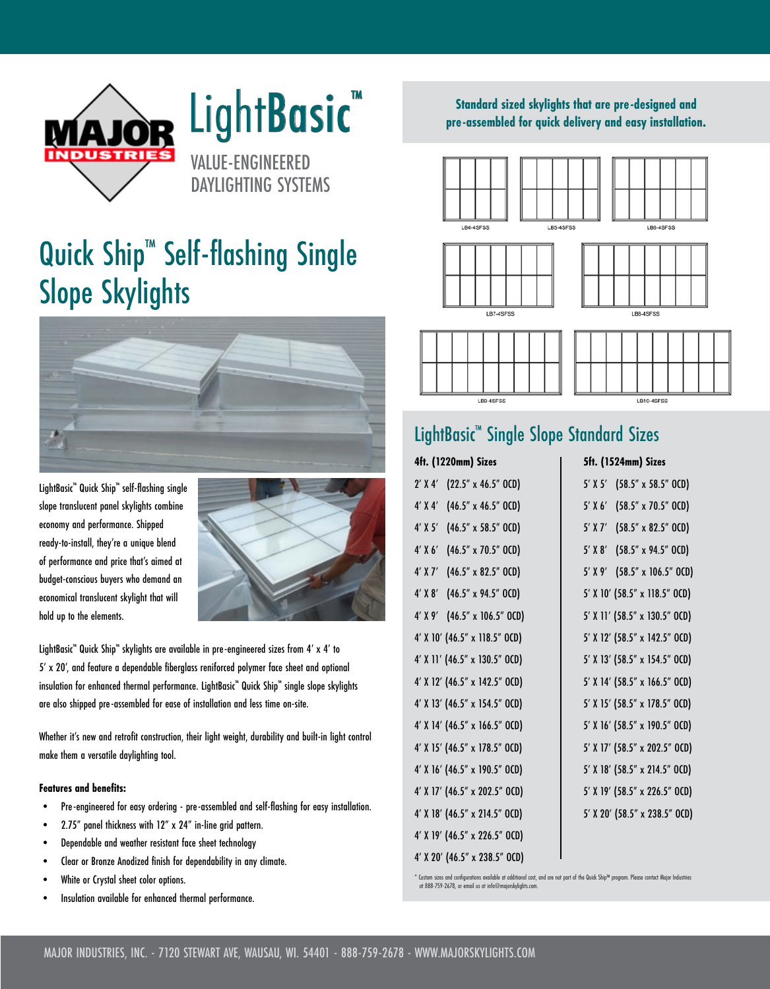

# LightBasic<sup>™</sup>

VALUE-ENGINEERED DAYLIGHTING SYSTEMS

## Quick Ship<sup>™</sup> Self-flashing Single Slope Skylights



LightBasic™ Quick Ship™ self-flashing single slope translucent panel skylights combine economy and performance. Shipped ready-to-install, they're a unique blend of performance and price that's aimed at budget-conscious buyers who demand an economical translucent skylight that will hold up to the elements.



LightBasic™ Quick Ship™ skylights are available in pre-engineered sizes from 4′ x 4′ to 5' x 20', and feature a dependable fiberglass reniforced polymer face sheet and optional insulation for enhanced thermal performance. LightBasic™ Quick Ship™ single slope skylights are also shipped pre-assembled for ease of installation and less time on-site.

Whether it's new and retrofit construction, their light weight, durability and built-in light control make them a versatile daylighting tool.

#### **Features and benefits:**

- Pre-engineered for easy ordering pre-assembled and self-flashing for easy installation.
- 2.75" panel thickness with 12" x 24" in-line grid pattern.
- Dependable and weather resistant face sheet technology
- Clear or Bronze Anodized finish for dependability in any climate.
- White or Crystal sheet color options.
- Insulation available for enhanced thermal performance.

#### **Standard sized skylights that are pre-designed and pre-assembled for quick delivery and easy installation.**



LB9-4SFSS

LB10-4SFSS

### LightBasic™ Single Slope Standard Sizes

#### **4ft. (1220mm) Sizes**

| (22.5" x 46.5" OCD)<br>$2'$ X 4'                  |
|---------------------------------------------------|
| $4'$ X $4'$<br>$(46.5" \times 46.5" \text{ OCD})$ |
| $4'$ X 5'<br>$(46.5" \times 58.5"$ OCD)           |
| $4'$ X 6'<br>$(46.5" \times 70.5" \text{ OCD})$   |
| $4'$ X 7'<br>$(46.5'' \times 82.5'' \text{ OCD})$ |
| $4'$ X $8'$<br>(46.5" x 94.5" OCD)                |
| 4' X 9' (46.5" x 106.5" OCD)                      |
| 4' X 10' (46.5" x 118.5" OCD)                     |
| 4' X 11' (46.5" x 130.5" OCD)                     |
| 4' X 12' (46.5" x 142.5" OCD)                     |
| 4' X 13' (46.5" x 154.5" OCD)                     |
| 4' X 14' (46.5" x 166.5" OCD)                     |
| 4' X 15' (46.5" x 178.5" OCD)                     |
| 4' X 16' (46.5" x 190.5" OCD)                     |
| 4' X 17' (46.5" x 202.5" OCD)                     |
| 4' X 18' (46.5" x 214.5" OCD)                     |
| 4' X 19' (46.5" x 226.5" OCD)                     |
| 4' X 20' (46.5" x 238.5" OCD)                     |

#### **5ft. (1524mm) Sizes**

| 5′ X 5′     | (58.5" x 58.5" OCD)                  |
|-------------|--------------------------------------|
| $5'$ X $6'$ | (58.5" x 70.5" OCD)                  |
| $5'$ X $7'$ | $(58.5'' \times 82.5'' \text{ OCD})$ |
| $5'$ X $8'$ | (58.5" x 94.5" OCD)                  |
|             | 5' X 9' (58.5" x 106.5" OCD)         |
|             | 5' X 10' (58.5" x 118.5" OCD)        |
|             | 5' X 11' (58.5" x 130.5" OCD)        |
|             | 5' X 12' (58.5" x 142.5" OCD)        |
|             | 5' X 13' (58.5" x 154.5" OCD)        |
|             | 5' X 14' (58.5" x 166.5" OCD)        |
|             | 5' X 15' (58.5" x 178.5" OCD)        |
|             | 5' X 16' (58.5" x 190.5" OCD)        |
|             | 5' X 17' (58.5" x 202.5" OCD)        |
|             | 5' X 18' (58.5" x 214.5" OCD)        |
|             | 5' X 19' (58.5" x 226.5" OCD)        |
|             | 5' X 20' (58.5" x 238.5" OCD)        |
|             |                                      |

\* Custom sizes and configurations available at additional cost, and are not part of the Quick Ship™ program. Please contact Major Industries at 888-759-2678, or email us at info@majorskylights.com.